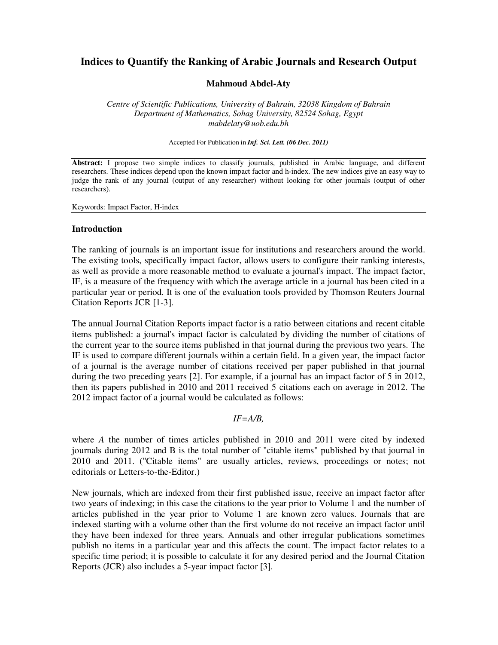# **Indices to Quantify the Ranking of Arabic Journals and Research Output**

## **Mahmoud Abdel-Aty**

*Centre of Scientific Publications, University of Bahrain, 32038 Kingdom of Bahrain Department of Mathematics, Sohag University, 82524 Sohag, Egypt mabdelaty@uob.edu.bh* 

Accepted For Publication in *Inf. Sci. Lett. (06 Dec. 2011)*

**Abstract:** I propose two simple indices to classify journals, published in Arabic language, and different researchers. These indices depend upon the known impact factor and h-index. The new indices give an easy way to judge the rank of any journal (output of any researcher) without looking for other journals (output of other researchers).

Keywords: Impact Factor, H-index

### **Introduction**

The ranking of journals is an important issue for institutions and researchers around the world. The existing tools, specifically impact factor, allows users to configure their ranking interests, as well as provide a more reasonable method to evaluate a journal's impact. The impact factor, IF, is a measure of the frequency with which the average article in a journal has been cited in a particular year or period. It is one of the evaluation tools provided by Thomson Reuters Journal Citation Reports JCR [1-3].

The annual Journal Citation Reports impact factor is a ratio between citations and recent citable items published: a journal's impact factor is calculated by dividing the number of citations of the current year to the source items published in that journal during the previous two years. The IF is used to compare different journals within a certain field. In a given year, the impact factor of a journal is the average number of citations received per paper published in that journal during the two preceding years [2]. For example, if a journal has an impact factor of 5 in 2012, then its papers published in 2010 and 2011 received 5 citations each on average in 2012. The 2012 impact factor of a journal would be calculated as follows:

#### *IF=A/B,*

where *A* the number of times articles published in 2010 and 2011 were cited by indexed journals during 2012 and B is the total number of "citable items" published by that journal in 2010 and 2011. ("Citable items" are usually articles, reviews, proceedings or notes; not editorials or Letters-to-the-Editor.)

New journals, which are indexed from their first published issue, receive an impact factor after two years of indexing; in this case the citations to the year prior to Volume 1 and the number of articles published in the year prior to Volume 1 are known zero values. Journals that are indexed starting with a volume other than the first volume do not receive an impact factor until they have been indexed for three years. Annuals and other irregular publications sometimes publish no items in a particular year and this affects the count. The impact factor relates to a specific time period; it is possible to calculate it for any desired period and the Journal Citation Reports (JCR) also includes a 5-year impact factor [3].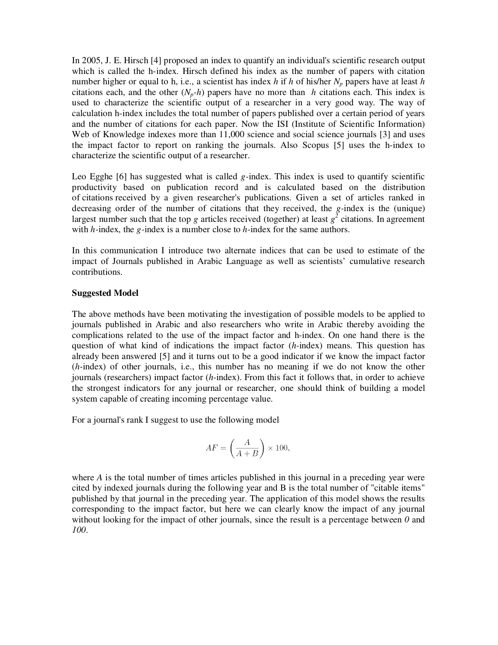In 2005, J. E. Hirsch [4] proposed an index to quantify an individual's scientific research output which is called the h-index. Hirsch defined his index as the number of papers with citation number higher or equal to h, i.e., a scientist has index *h* if *h* of his/her *Np* papers have at least *h* citations each, and the other  $(N_p-h)$  papers have no more than *h* citations each. This index is used to characterize the scientific output of a researcher in a very good way. The way of calculation h-index includes the total number of papers published over a certain period of years and the number of citations for each paper. Now the ISI (Institute of Scientific Information) Web of Knowledge indexes more than 11,000 science and social science journals [3] and uses the impact factor to report on ranking the journals. Also Scopus [5] uses the h-index to characterize the scientific output of a researcher.

Leo Egghe [6] has suggested what is called *g-*index. This index is used to quantify scientific productivity based on publication record and is calculated based on the distribution of citations received by a given researcher's publications. Given a set of articles ranked in decreasing order of the number of citations that they received, the *g-*index is the (unique) largest number such that the top *g* articles received (together) at least  $g^2$  citations. In agreement with *h-*index, the *g-*index is a number close to *h-*index for the same authors.

In this communication I introduce two alternate indices that can be used to estimate of the impact of Journals published in Arabic Language as well as scientists' cumulative research contributions.

#### **Suggested Model**

The above methods have been motivating the investigation of possible models to be applied to journals published in Arabic and also researchers who write in Arabic thereby avoiding the complications related to the use of the impact factor and h-index. On one hand there is the question of what kind of indications the impact factor (*h*-index) means. This question has already been answered [5] and it turns out to be a good indicator if we know the impact factor (*h-*index) of other journals, i.e., this number has no meaning if we do not know the other journals (researchers) impact factor (*h-*index). From this fact it follows that, in order to achieve the strongest indicators for any journal or researcher, one should think of building a model system capable of creating incoming percentage value.

For a journal's rank I suggest to use the following model

$$
AF = \left(\frac{A}{A+B}\right) \times 100,
$$

where *A* is the total number of times articles published in this journal in a preceding year were cited by indexed journals during the following year and B is the total number of "citable items" published by that journal in the preceding year. The application of this model shows the results corresponding to the impact factor, but here we can clearly know the impact of any journal without looking for the impact of other journals, since the result is a percentage between  $\theta$  and *100*.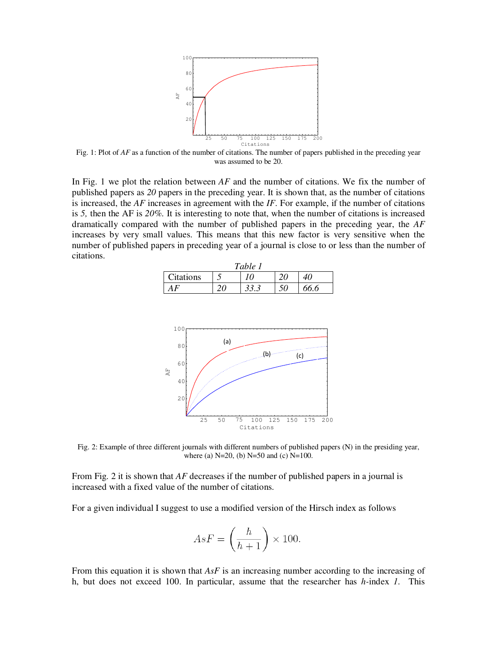

Fig. 1: Plot of *AF* as a function of the number of citations. The number of papers published in the preceding year was assumed to be 20.

In Fig. 1 we plot the relation between *AF* and the number of citations. We fix the number of published papers as *20* papers in the preceding year. It is shown that, as the number of citations is increased, the *AF* increases in agreement with the *IF*. For example, if the number of citations is *5,* then the AF is *20%.* It is interesting to note that, when the number of citations is increased dramatically compared with the number of published papers in the preceding year, the *AF*  increases by very small values. This means that this new factor is very sensitive when the number of published papers in preceding year of a journal is close to or less than the number of citations.

| Table 1   |  |      |  |      |
|-----------|--|------|--|------|
| Citations |  |      |  |      |
|           |  | 33.3 |  | 66.6 |



Fig. 2: Example of three different journals with different numbers of published papers (N) in the presiding year, where (a) N=20, (b) N=50 and (c) N=100.

From Fig. 2 it is shown that *AF* decreases if the number of published papers in a journal is increased with a fixed value of the number of citations.

For a given individual I suggest to use a modified version of the Hirsch index as follows

$$
AsF = \left(\frac{h}{h+1}\right) \times 100.
$$

From this equation it is shown that *AsF* is an increasing number according to the increasing of h, but does not exceed 100. In particular, assume that the researcher has *h-*index *1.* This